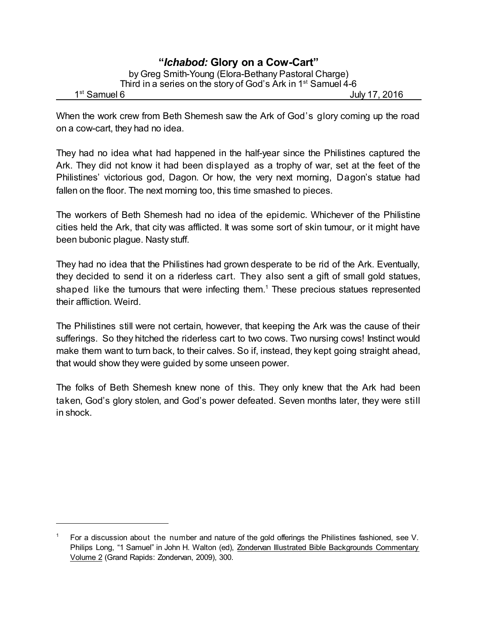## **"***Ichabod:* **Glory on a Cow-Cart"** by Greg Smith-Young (Elora-Bethany Pastoral Charge) Third in a series on the story of God's Ark in 1<sup>st</sup> Samuel 4-6 1<sup>st</sup> Samuel 6 July 17, 2016

When the work crew from Beth Shemesh saw the Ark of God's glory coming up the road on a cow-cart, they had no idea.

They had no idea what had happened in the half-year since the Philistines captured the Ark. They did not know it had been displayed as a trophy of war, set at the feet of the Philistines' victorious god, Dagon. Or how, the very next morning, Dagon's statue had fallen on the floor. The next morning too, this time smashed to pieces.

The workers of Beth Shemesh had no idea of the epidemic. Whichever of the Philistine cities held the Ark, that city was afflicted. It was some sort of skin tumour, or it might have been bubonic plague. Nasty stuff.

They had no idea that the Philistines had grown desperate to be rid of the Ark. Eventually, they decided to send it on a riderless cart. They also sent a gift of small gold statues, shaped like the tumours that were infecting them. <sup>1</sup> These precious statues represented their affliction. Weird.

The Philistines still were not certain, however, that keeping the Ark was the cause of their sufferings. So they hitched the riderless cart to two cows. Two nursing cows! Instinct would make them want to turn back, to their calves. So if, instead, they kept going straight ahead, that would show they were guided by some unseen power.

The folks of Beth Shemesh knew none of this. They only knew that the Ark had been taken, God's glory stolen, and God's power defeated. Seven months later, they were still in shock.

<sup>1</sup> For a discussion about the number and nature of the gold offerings the Philistines fashioned, see V. Philips Long, "1 Samuel" in John H. Walton (ed), Zondervan Illustrated Bible Backgrounds Commentary Volume 2 (Grand Rapids: Zondervan, 2009), 300.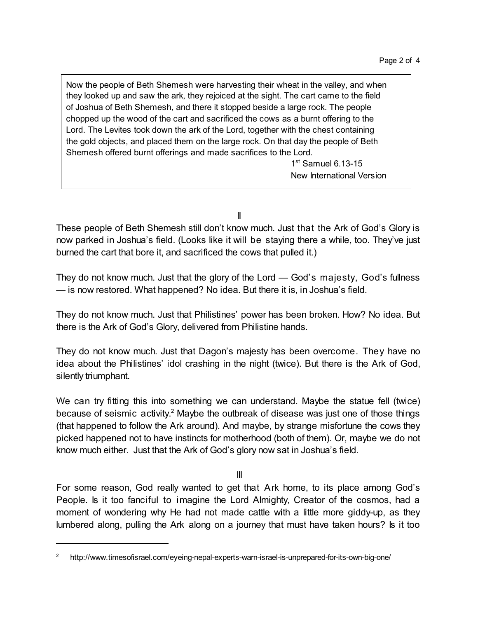Now the people of Beth Shemesh were harvesting their wheat in the valley, and when they looked up and saw the ark, they rejoiced at the sight. The cart came to the field of Joshua of Beth Shemesh, and there it stopped beside a large rock. The people chopped up the wood of the cart and sacrificed the cows as a burnt offering to the Lord. The Levites took down the ark of the Lord, together with the chest containing the gold objects, and placed them on the large rock. On that day the people of Beth Shemesh offered burnt offerings and made sacrifices to the Lord.

> 1st Samuel 6.13-15 New International Version

II

These people of Beth Shemesh still don't know much. Just that the Ark of God's Glory is now parked in Joshua's field. (Looks like it will be staying there a while, too. They've just burned the cart that bore it, and sacrificed the cows that pulled it.)

They do not know much. Just that the glory of the Lord — God's majesty, God's fullness — is now restored. What happened? No idea. But there it is, in Joshua's field.

They do not know much. Just that Philistines' power has been broken. How? No idea. But there is the Ark of God's Glory, delivered from Philistine hands.

They do not know much. Just that Dagon's majesty has been overcome. They have no idea about the Philistines' idol crashing in the night (twice). But there is the Ark of God, silently triumphant.

We can try fitting this into something we can understand. Maybe the statue fell (twice) because of seismic activity.<sup>2</sup> Maybe the outbreak of disease was just one of those things (that happened to follow the Ark around). And maybe, by strange misfortune the cows they picked happened not to have instincts for motherhood (both of them). Or, maybe we do not know much either. Just that the Ark of God's glory now sat in Joshua's field.

III

For some reason, God really wanted to get that Ark home, to its place among God's People. Is it too fanciful to imagine the Lord Almighty, Creator of the cosmos, had a moment of wondering why He had not made cattle with a little more giddy-up, as they lumbered along, pulling the Ark along on a journey that must have taken hours? Is it too

<sup>2</sup> http://www.timesofisrael.com/eyeing-nepal-experts-warn-israel-is-unprepared-for-its-own-big-one/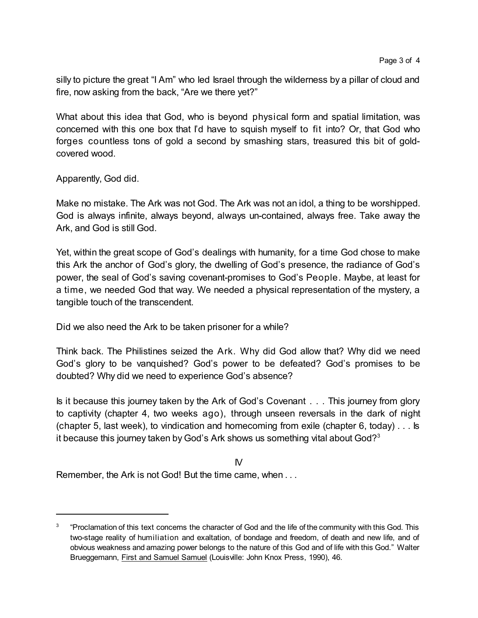silly to picture the great "I Am" who led Israel through the wilderness by a pillar of cloud and fire, now asking from the back, "Are we there yet?"

What about this idea that God, who is beyond physical form and spatial limitation, was concerned with this one box that I'd have to squish myself to fit into? Or, that God who forges countless tons of gold a second by smashing stars, treasured this bit of goldcovered wood.

Apparently, God did.

Make no mistake. The Ark was not God. The Ark was not an idol, a thing to be worshipped. God is always infinite, always beyond, always un-contained, always free. Take away the Ark, and God is still God.

Yet, within the great scope of God's dealings with humanity, for a time God chose to make this Ark the anchor of God's glory, the dwelling of God's presence, the radiance of God's power, the seal of God's saving covenant-promises to God's People. Maybe, at least for a time, we needed God that way. We needed a physical representation of the mystery, a tangible touch of the transcendent.

Did we also need the Ark to be taken prisoner for a while?

Think back. The Philistines seized the Ark. Why did God allow that? Why did we need God's glory to be vanquished? God's power to be defeated? God's promises to be doubted? Why did we need to experience God's absence?

Is it because this journey taken by the Ark of God's Covenant . . . This journey from glory to captivity (chapter 4, two weeks ago), through unseen reversals in the dark of night (chapter 5, last week), to vindication and homecoming from exile (chapter 6, today) . . . Is it because this journey taken by God's Ark shows us something vital about God?<sup>3</sup>

IV

Remember, the Ark is not God! But the time came, when . . .

<sup>3</sup> "Proclamation of this text concerns the character of God and the life of the community with this God. This two-stage reality of humiliation and exaltation, of bondage and freedom, of death and new life, and of obvious weakness and amazing power belongs to the nature of this God and of life with this God." Walter Brueggemann, First and Samuel Samuel (Louisville: John Knox Press, 1990), 46.